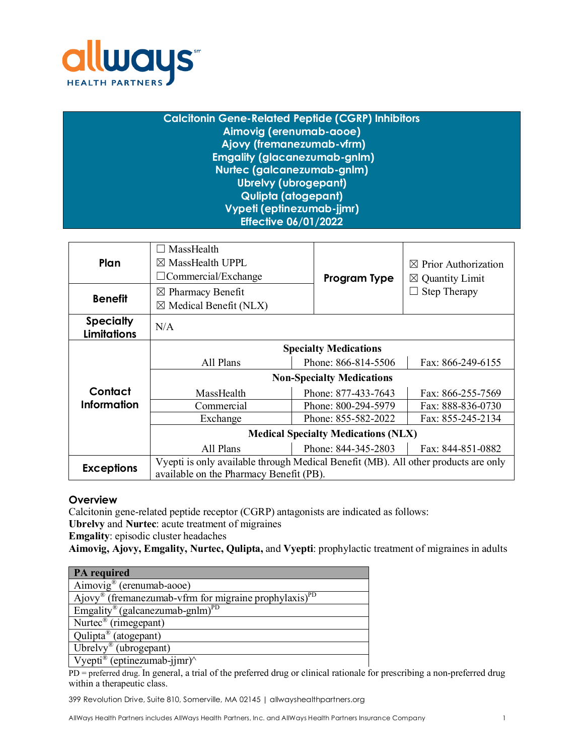

| <b>Calcitonin Gene-Related Peptide (CGRP) Inhibitors</b> |
|----------------------------------------------------------|
| Aimovig (erenumab-aooe)                                  |
| Ajovy (fremanezumab-vfrm)                                |
| <b>Emgality (glacanezumab-gnlm)</b>                      |
| Nurtec (galcanezumab-gnlm)                               |
| <b>Ubrelvy (ubrogepant)</b>                              |
| Qulipta (atogepant)                                      |
| Vypeti (eptinezumab-jjmr)                                |
| <b>Effective 06/01/2022</b>                              |
|                                                          |

| Plan                                   | $\Box$ MassHealth<br>$\boxtimes$ MassHealth UPPL<br>$\Box$ Commercial/Exchange                                                | Program Type        | $\boxtimes$ Prior Authorization<br>$\boxtimes$ Quantity Limit |
|----------------------------------------|-------------------------------------------------------------------------------------------------------------------------------|---------------------|---------------------------------------------------------------|
| <b>Benefit</b>                         | $\boxtimes$ Pharmacy Benefit<br>$\boxtimes$ Medical Benefit (NLX)                                                             |                     | <b>Step Therapy</b>                                           |
| <b>Specialty</b><br><b>Limitations</b> | N/A                                                                                                                           |                     |                                                               |
|                                        | <b>Specialty Medications</b>                                                                                                  |                     |                                                               |
|                                        | All Plans                                                                                                                     | Phone: 866-814-5506 | Fax: 866-249-6155                                             |
|                                        | <b>Non-Specialty Medications</b>                                                                                              |                     |                                                               |
| Contact                                | MassHealth                                                                                                                    | Phone: 877-433-7643 | Fax: 866-255-7569                                             |
| <b>Information</b>                     | Commercial                                                                                                                    | Phone: 800-294-5979 | Fax: 888-836-0730                                             |
|                                        | Exchange                                                                                                                      | Phone: 855-582-2022 | Fax: 855-245-2134                                             |
|                                        | <b>Medical Specialty Medications (NLX)</b>                                                                                    |                     |                                                               |
|                                        | All Plans                                                                                                                     | Phone: 844-345-2803 | Fax: 844-851-0882                                             |
| <b>Exceptions</b>                      | Vyepti is only available through Medical Benefit (MB). All other products are only<br>available on the Pharmacy Benefit (PB). |                     |                                                               |

# **Overview**

Calcitonin gene-related peptide receptor (CGRP) antagonists are indicated as follows:

**Ubrelvy** and **Nurtec**: acute treatment of migraines

**Emgality**: episodic cluster headaches

**Aimovig, Ajovy, Emgality, Nurtec, Qulipta,** and **Vyepti**: prophylactic treatment of migraines in adults

| <b>PA</b> required                                                            |
|-------------------------------------------------------------------------------|
| Aimovig <sup>®</sup> (erenumab-aooe)                                          |
| Ajovy <sup>®</sup> (fremanezumab-vfrm for migraine prophylaxis) <sup>PD</sup> |
| Emgality® (galcanezumab-gn $\overline{\text{lm}}$ ) <sup>PD</sup>             |
| Nurtec <sup>®</sup> (rimegepant)                                              |
| Qulipta® (atogepant)                                                          |
| Ubrelvy® (ubrogepant)                                                         |
| Vyepti <sup>®</sup> (eptinezumab-jjmr)^                                       |

PD = preferred drug. In general, a trial of the preferred drug or clinical rationale for prescribing a non-preferred drug within a therapeutic class.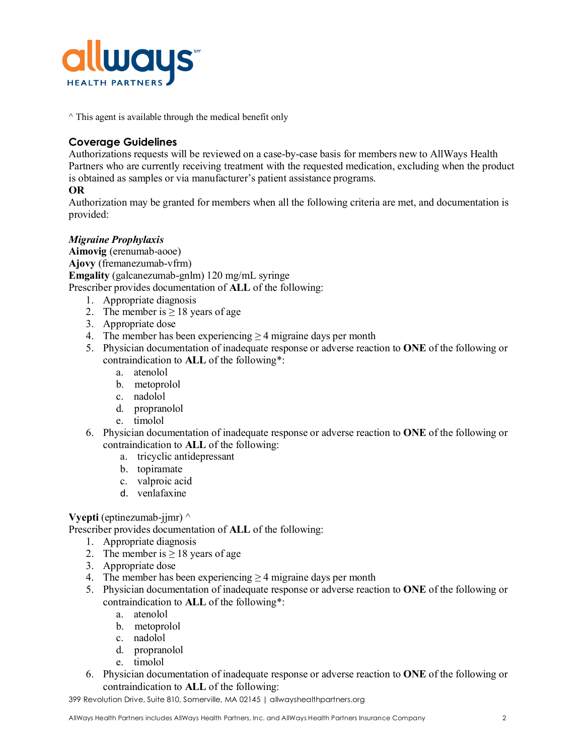

 $\land$  This agent is available through the medical benefit only

# **Coverage Guidelines**

Authorizations requests will be reviewed on a case-by-case basis for members new to AllWays Health Partners who are currently receiving treatment with the requested medication, excluding when the product is obtained as samples or via manufacturer's patient assistance programs.

# **OR**

Authorization may be granted for members when all the following criteria are met, and documentation is provided:

# *Migraine Prophylaxis*

**Aimovig** (erenumab-aooe) **Ajovy** (fremanezumab-vfrm) **Emgality** (galcanezumab-gnlm) 120 mg/mL syringe Prescriber provides documentation of **ALL** of the following:

- 1. Appropriate diagnosis
- 2. The member is  $> 18$  years of age
- 3. Appropriate dose
- 4. The member has been experiencing  $\geq$  4 migraine days per month
- 5. Physician documentation of inadequate response or adverse reaction to **ONE** of the following or contraindication to **ALL** of the following\*:
	- a. atenolol
	- b. metoprolol
	- c. nadolol
	- d. propranolol
	- e. timolol
- 6. Physician documentation of inadequate response or adverse reaction to **ONE** of the following or contraindication to **ALL** of the following:
	- a. tricyclic antidepressant
	- b. topiramate
	- c. valproic acid
	- d. venlafaxine

### **Vyepti** (eptinezumab-jjmr)  $\wedge$

Prescriber provides documentation of **ALL** of the following:

- 1. Appropriate diagnosis
- 2. The member is  $\geq 18$  years of age
- 3. Appropriate dose
- 4. The member has been experiencing  $\geq$  4 migraine days per month
- 5. Physician documentation of inadequate response or adverse reaction to **ONE** of the following or contraindication to **ALL** of the following\*:
	- a. atenolol
	- b. metoprolol
	- c. nadolol
	- d. propranolol
	- e. timolol
- 6. Physician documentation of inadequate response or adverse reaction to **ONE** of the following or contraindication to **ALL** of the following: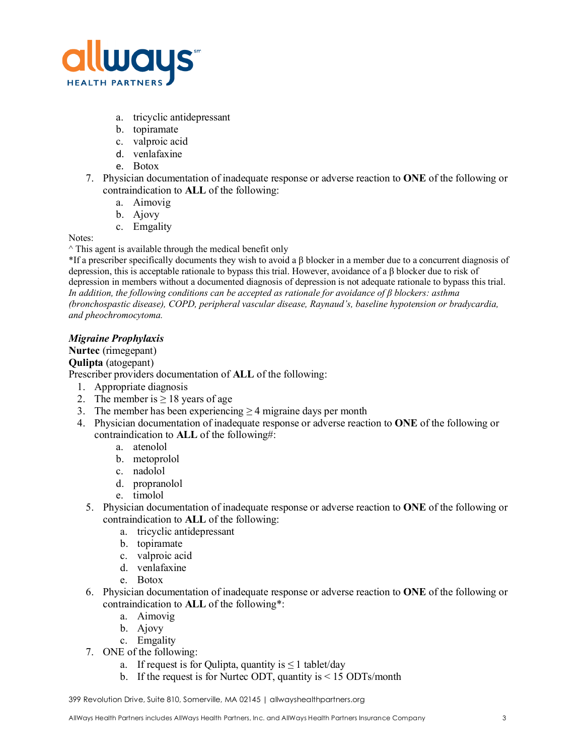

- a. tricyclic antidepressant
- b. topiramate
- c. valproic acid
- d. venlafaxine
- e. Botox
- 7. Physician documentation of inadequate response or adverse reaction to **ONE** of the following or contraindication to **ALL** of the following:
	- a. Aimovig
	- b. Ajovy
	- c. Emgality

#### Notes:

 $\land$  This agent is available through the medical benefit only

 $*$ If a prescriber specifically documents they wish to avoid a  $\beta$  blocker in a member due to a concurrent diagnosis of depression, this is acceptable rationale to bypass this trial. However, avoidance of a β blocker due to risk of depression in members without a documented diagnosis of depression is not adequate rationale to bypass this trial. *In addition, the following conditions can be accepted as rationale for avoidance of β blockers: asthma (bronchospastic disease), COPD, peripheral vascular disease, Raynaud's, baseline hypotension or bradycardia, and pheochromocytoma.*

# *Migraine Prophylaxis*

**Nurtec** (rimegepant)

### **Qulipta** (atogepant)

Prescriber providers documentation of **ALL** of the following:

- 1. Appropriate diagnosis
- 2. The member is  $\geq 18$  years of age
- 3. The member has been experiencing  $\geq$  4 migraine days per month
- 4. Physician documentation of inadequate response or adverse reaction to **ONE** of the following or contraindication to **ALL** of the following#:
	- a. atenolol
	- b. metoprolol
	- c. nadolol
	- d. propranolol
	- e. timolol
	- 5. Physician documentation of inadequate response or adverse reaction to **ONE** of the following or contraindication to **ALL** of the following:
		- a. tricyclic antidepressant
		- b. topiramate
		- c. valproic acid
		- d. venlafaxine
		- e. Botox
	- 6. Physician documentation of inadequate response or adverse reaction to **ONE** of the following or contraindication to **ALL** of the following\*:
		- a. Aimovig
		- b. Ajovy
		- c. Emgality
	- 7. ONE of the following:
		- a. If request is for Qulipta, quantity is  $\leq 1$  tablet/day
		- b. If the request is for Nurtec ODT, quantity is < 15 ODTs/month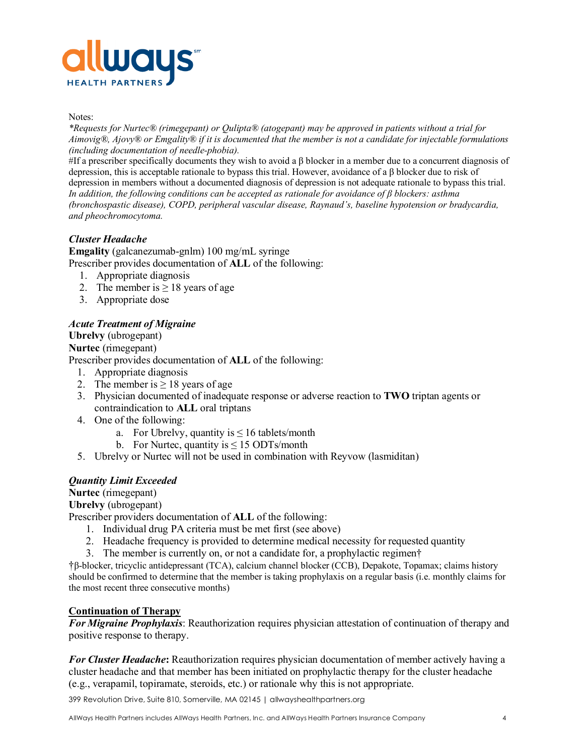

#### Notes:

*\*Requests for Nurtec® (rimegepant) or Qulipta® (atogepant) may be approved in patients without a trial for Aimovig®, Ajovy® or Emgality® if it is documented that the member is not a candidate for injectable formulations (including documentation of needle-phobia).* 

#If a prescriber specifically documents they wish to avoid a  $\beta$  blocker in a member due to a concurrent diagnosis of depression, this is acceptable rationale to bypass this trial. However, avoidance of a β blocker due to risk of depression in members without a documented diagnosis of depression is not adequate rationale to bypass this trial. *In addition, the following conditions can be accepted as rationale for avoidance of β blockers: asthma (bronchospastic disease), COPD, peripheral vascular disease, Raynaud's, baseline hypotension or bradycardia, and pheochromocytoma.* 

### *Cluster Headache*

**Emgality** (galcanezumab-gnlm) 100 mg/mL syringe Prescriber provides documentation of **ALL** of the following:

- 1. Appropriate diagnosis
- 2. The member is  $\geq 18$  years of age
- 3. Appropriate dose

### *Acute Treatment of Migraine*

**Ubrelvy** (ubrogepant) **Nurtec** (rimegepant) Prescriber provides documentation of **ALL** of the following:

- 1. Appropriate diagnosis
- 2. The member is  $\geq 18$  years of age
- 3. Physician documented of inadequate response or adverse reaction to **TWO** triptan agents or contraindication to **ALL** oral triptans
- 4. One of the following:
	- a. For Ubrelvy, quantity is  $\leq 16$  tablets/month
	- b. For Nurtec, quantity is  $\leq 15$  ODTs/month
- 5. Ubrelvy or Nurtec will not be used in combination with Reyvow (lasmiditan)

### *Quantity Limit Exceeded*

**Nurtec** (rimegepant)

**Ubrelvy** (ubrogepant)

Prescriber providers documentation of **ALL** of the following:

- 1. Individual drug PA criteria must be met first (see above)
- 2. Headache frequency is provided to determine medical necessity for requested quantity
- 3. The member is currently on, or not a candidate for, a prophylactic regimen†

†β-blocker, tricyclic antidepressant (TCA), calcium channel blocker (CCB), Depakote, Topamax; claims history should be confirmed to determine that the member is taking prophylaxis on a regular basis (i.e. monthly claims for the most recent three consecutive months)

### **Continuation of Therapy**

*For Migraine Prophylaxis*: Reauthorization requires physician attestation of continuation of therapy and positive response to therapy.

*For Cluster Headache***:** Reauthorization requires physician documentation of member actively having a cluster headache and that member has been initiated on prophylactic therapy for the cluster headache (e.g., verapamil, topiramate, steroids, etc.) or rationale why this is not appropriate.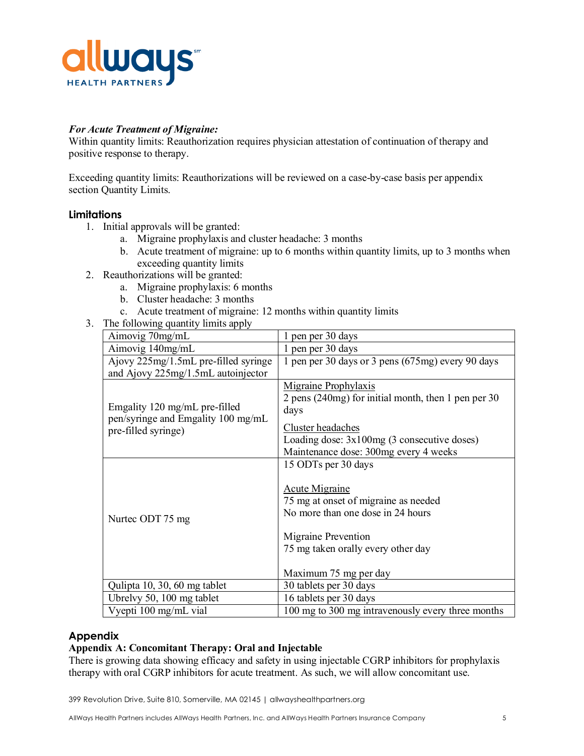

### *For Acute Treatment of Migraine:*

Within quantity limits: Reauthorization requires physician attestation of continuation of therapy and positive response to therapy.

Exceeding quantity limits: Reauthorizations will be reviewed on a case-by-case basis per appendix section Quantity Limits.

# **Limitations**

- 1. Initial approvals will be granted:
	- a. Migraine prophylaxis and cluster headache: 3 months
	- b. Acute treatment of migraine: up to 6 months within quantity limits, up to 3 months when exceeding quantity limits
- 2. Reauthorizations will be granted:
	- a. Migraine prophylaxis: 6 months
	- b. Cluster headache: 3 months
	- c. Acute treatment of migraine: 12 months within quantity limits
- 3. The following quantity limits apply

| Aimovig 70mg/mL                      | pen per 30 days                                     |  |
|--------------------------------------|-----------------------------------------------------|--|
| Aimovig 140mg/mL                     | 1 pen per 30 days                                   |  |
| Ajovy 225mg/1.5mL pre-filled syringe | 1 pen per 30 days or 3 pens (675mg) every 90 days   |  |
| and Ajovy 225mg/1.5mL autoinjector   |                                                     |  |
|                                      | Migraine Prophylaxis                                |  |
|                                      | 2 pens (240mg) for initial month, then 1 pen per 30 |  |
| Emgality 120 mg/mL pre-filled        | days                                                |  |
| pen/syringe and Emgality 100 mg/mL   | Cluster headaches                                   |  |
| pre-filled syringe)                  | Loading dose: $3x100mg$ (3 consecutive doses)       |  |
|                                      | Maintenance dose: 300mg every 4 weeks               |  |
|                                      | 15 ODTs per 30 days                                 |  |
|                                      |                                                     |  |
|                                      | Acute Migraine                                      |  |
|                                      | 75 mg at onset of migraine as needed                |  |
|                                      | No more than one dose in 24 hours                   |  |
| Nurtec ODT 75 mg                     |                                                     |  |
|                                      | Migraine Prevention                                 |  |
|                                      | 75 mg taken orally every other day                  |  |
|                                      |                                                     |  |
|                                      | Maximum 75 mg per day                               |  |
| Qulipta 10, 30, 60 mg tablet         | 30 tablets per 30 days                              |  |
| Ubrelvy 50, 100 mg tablet            | 16 tablets per 30 days                              |  |
| Vyepti 100 mg/mL vial                | 100 mg to 300 mg intravenously every three months   |  |

### **Appendix**

#### **Appendix A: Concomitant Therapy: Oral and Injectable**

There is growing data showing efficacy and safety in using injectable CGRP inhibitors for prophylaxis therapy with oral CGRP inhibitors for acute treatment. As such, we will allow concomitant use.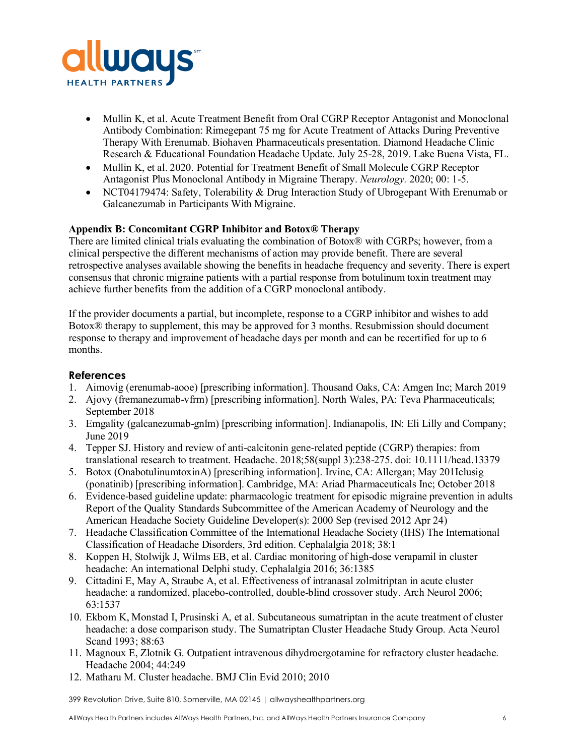

- Mullin K, et al. Acute Treatment Benefit from Oral CGRP Receptor Antagonist and Monoclonal Antibody Combination: Rimegepant 75 mg for Acute Treatment of Attacks During Preventive Therapy With Erenumab. Biohaven Pharmaceuticals presentation. Diamond Headache Clinic Research & Educational Foundation Headache Update. July 25-28, 2019. Lake Buena Vista, FL.
- Mullin K, et al. 2020. Potential for Treatment Benefit of Small Molecule CGRP Receptor Antagonist Plus Monoclonal Antibody in Migraine Therapy. *Neurology.* 2020; 00: 1-5.
- NCT04179474: Safety, Tolerability & Drug Interaction Study of Ubrogepant With Erenumab or Galcanezumab in Participants With Migraine.

### **Appendix B: Concomitant CGRP Inhibitor and Botox® Therapy**

There are limited clinical trials evaluating the combination of Botox® with CGRPs; however, from a clinical perspective the different mechanisms of action may provide benefit. There are several retrospective analyses available showing the benefits in headache frequency and severity. There is expert consensus that chronic migraine patients with a partial response from botulinum toxin treatment may achieve further benefits from the addition of a CGRP monoclonal antibody.

If the provider documents a partial, but incomplete, response to a CGRP inhibitor and wishes to add Botox® therapy to supplement, this may be approved for 3 months. Resubmission should document response to therapy and improvement of headache days per month and can be recertified for up to 6 months.

# **References**

- 1. Aimovig (erenumab-aooe) [prescribing information]. Thousand Oaks, CA: Amgen Inc; March 2019
- 2. Ajovy (fremanezumab-vfrm) [prescribing information]. North Wales, PA: Teva Pharmaceuticals; September 2018
- 3. Emgality (galcanezumab-gnlm) [prescribing information]. Indianapolis, IN: Eli Lilly and Company; June 2019
- 4. Tepper SJ. History and review of anti-calcitonin gene-related peptide (CGRP) therapies: from translational research to treatment. Headache. 2018;58(suppl 3):238-275. doi: 10.1111/head.13379
- 5. Botox (OnabotulinumtoxinA) [prescribing information]. Irvine, CA: Allergan; May 201Iclusig (ponatinib) [prescribing information]. Cambridge, MA: Ariad Pharmaceuticals Inc; October 2018
- 6. Evidence-based guideline update: pharmacologic treatment for episodic migraine prevention in adults Report of the Quality Standards Subcommittee of the American Academy of Neurology and the American Headache Society Guideline Developer(s): 2000 Sep (revised 2012 Apr 24)
- 7. [Headache Classification Committee of the International Headache Society \(IHS\) The International](https://www.uptodate.com/contents/cluster-headache-treatment-and-prognosis/abstract/1)  [Classification of Headache Disorders, 3rd edition. Cephalalgia 2018; 38:1](https://www.uptodate.com/contents/cluster-headache-treatment-and-prognosis/abstract/1)
- 8. [Koppen H, Stolwijk J, Wilms EB, et al. Cardiac monitoring of high](https://www.uptodate.com/contents/cluster-headache-treatment-and-prognosis/abstract/50)-dose verapamil in cluster [headache: An international Delphi study. Cephalalgia 2016; 36:1385](https://www.uptodate.com/contents/cluster-headache-treatment-and-prognosis/abstract/50)
- 9. [Cittadini E, May A, Straube A, et al. Effectiveness of intranasal zolmitriptan in acute cluster](https://www.uptodate.com/contents/cluster-headache-treatment-and-prognosis/abstract/24)  [headache: a randomized, placebo-controlled, double-blind crossover study. Arch Neurol 2](https://www.uptodate.com/contents/cluster-headache-treatment-and-prognosis/abstract/24)006; [63:1537](https://www.uptodate.com/contents/cluster-headache-treatment-and-prognosis/abstract/24)
- 10. [Ekbom K, Monstad I, Prusinski A, et al. Subcutaneous sumatriptan in the acute treatment of cluster](https://www.uptodate.com/contents/cluster-headache-treatment-and-prognosis/abstract/21)  [headache: a dose comparison study. The Sumatriptan Cluster Headache Study Group. Acta Neurol](https://www.uptodate.com/contents/cluster-headache-treatment-and-prognosis/abstract/21)  [Scand 1993; 88:63](https://www.uptodate.com/contents/cluster-headache-treatment-and-prognosis/abstract/21)
- 11. [Magnoux E, Zlotnik G. Outpatient intravenous dihydroergotamine for refractory clust](https://www.uptodate.com/contents/cluster-headache-treatment-and-prognosis/abstract/38)er headache. [Headache 2004; 44:249](https://www.uptodate.com/contents/cluster-headache-treatment-and-prognosis/abstract/38)
- 12. [Matharu M. Cluster headache. BMJ Clin Evid 2010; 2010](https://www.uptodate.com/contents/cluster-headache-treatment-and-prognosis/abstract/36)